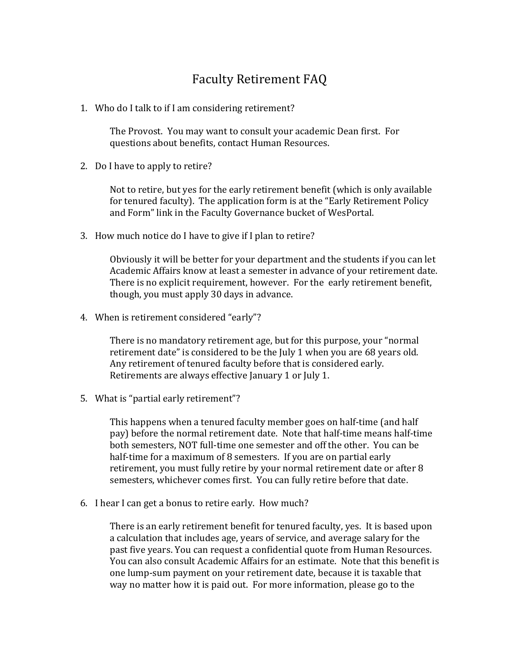## Faculty Retirement FAQ

1. Who do I talk to if I am considering retirement?

The Provost. You may want to consult your academic Dean first. For questions about benefits, contact Human Resources.

2. Do I have to apply to retire?

Not to retire, but yes for the early retirement benefit (which is only available for tenured faculty). The application form is at the "Early Retirement Policy and Form" link in the Faculty Governance bucket of WesPortal.

3. How much notice do I have to give if I plan to retire?

Obviously it will be better for your department and the students if you can let Academic Affairs know at least a semester in advance of your retirement date. There is no explicit requirement, however. For the early retirement benefit, though, you must apply 30 days in advance.

4. When is retirement considered "early"?

There is no mandatory retirement age, but for this purpose, your "normal retirement date" is considered to be the July 1 when you are 68 years old. Any retirement of tenured faculty before that is considered early. Retirements are always effective January 1 or July 1.

5. What is "partial early retirement"?

This happens when a tenured faculty member goes on half-time (and half pay) before the normal retirement date. Note that half-time means half-time both semesters, NOT full-time one semester and off the other. You can be half-time for a maximum of 8 semesters. If you are on partial early retirement, you must fully retire by your normal retirement date or after 8 semesters, whichever comes first. You can fully retire before that date.

6. I hear I can get a bonus to retire early. How much?

There is an early retirement benefit for tenured faculty, yes. It is based upon a calculation that includes age, years of service, and average salary for the past five years. You can request a confidential quote from Human Resources. You can also consult Academic Affairs for an estimate. Note that this benefit is one lump-sum payment on your retirement date, because it is taxable that way no matter how it is paid out. For more information, please go to the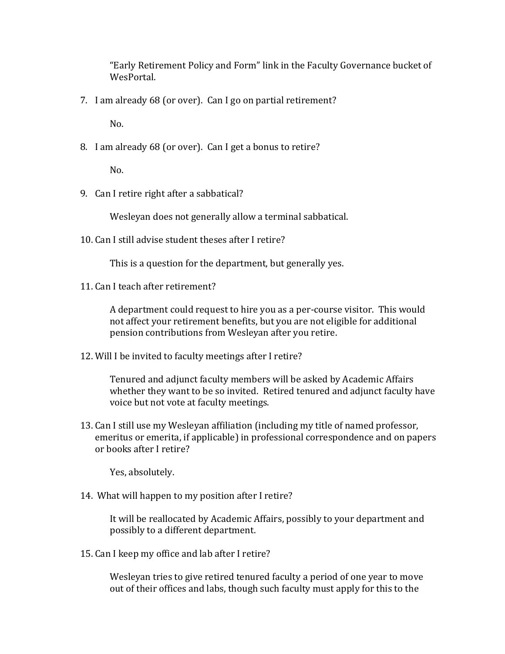"Early Retirement Policy and Form" link in the Faculty Governance bucket of WesPortal.

7. I am already 68 (or over). Can I go on partial retirement?

No.

8. I am already 68 (or over). Can I get a bonus to retire?

No.

9. Can I retire right after a sabbatical?

Wesleyan does not generally allow a terminal sabbatical.

10. Can I still advise student theses after I retire?

This is a question for the department, but generally yes.

11. Can I teach after retirement?

A department could request to hire you as a per-course visitor. This would not affect your retirement benefits, but you are not eligible for additional pension contributions from Wesleyan after you retire.

12. Will I be invited to faculty meetings after I retire?

Tenured and adjunct faculty members will be asked by Academic Affairs whether they want to be so invited. Retired tenured and adjunct faculty have voice but not vote at faculty meetings.

13. Can I still use my Wesleyan affiliation (including my title of named professor, emeritus or emerita, if applicable) in professional correspondence and on papers or books after I retire?

Yes, absolutely.

14. What will happen to my position after I retire?

It will be reallocated by Academic Affairs, possibly to your department and possibly to a different department.

15. Can I keep my office and lab after I retire?

Wesleyan tries to give retired tenured faculty a period of one year to move out of their offices and labs, though such faculty must apply for this to the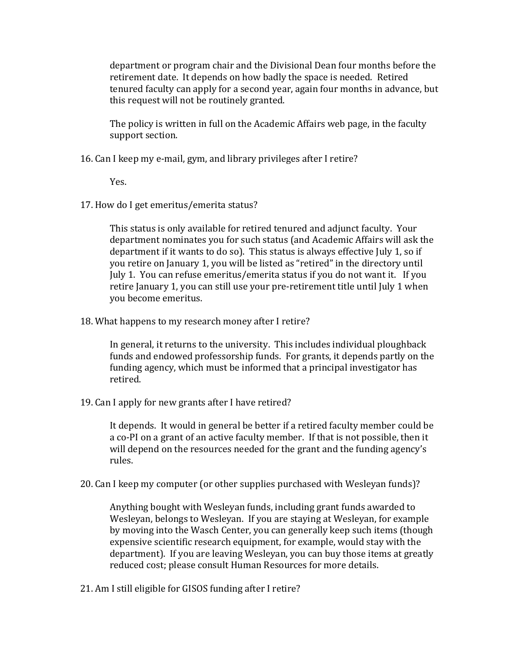department or program chair and the Divisional Dean four months before the retirement date. It depends on how badly the space is needed. Retired tenured faculty can apply for a second year, again four months in advance, but this request will not be routinely granted.

The policy is written in full on the Academic Affairs web page, in the faculty support section.

16. Can I keep my e-mail, gym, and library privileges after I retire?

Yes.

17. How do I get emeritus/emerita status?

This status is only available for retired tenured and adjunct faculty. Your department nominates you for such status (and Academic Affairs will ask the department if it wants to do so). This status is always effective July 1, so if you retire on January 1, you will be listed as "retired" in the directory until July 1. You can refuse emeritus/emerita status if you do not want it. If you retire January 1, you can still use your pre-retirement title until July 1 when you become emeritus.

18. What happens to my research money after I retire?

In general, it returns to the university. This includes individual ploughback funds and endowed professorship funds. For grants, it depends partly on the funding agency, which must be informed that a principal investigator has retired.

19. Can I apply for new grants after I have retired?

It depends. It would in general be better if a retired faculty member could be a co-PI on a grant of an active faculty member. If that is not possible, then it will depend on the resources needed for the grant and the funding agency's rules.

20. Can I keep my computer (or other supplies purchased with Wesleyan funds)?

Anything bought with Wesleyan funds, including grant funds awarded to Wesleyan, belongs to Wesleyan. If you are staying at Wesleyan, for example by moving into the Wasch Center, you can generally keep such items (though expensive scientific research equipment, for example, would stay with the department). If you are leaving Wesleyan, you can buy those items at greatly reduced cost; please consult Human Resources for more details.

21. Am I still eligible for GISOS funding after I retire?